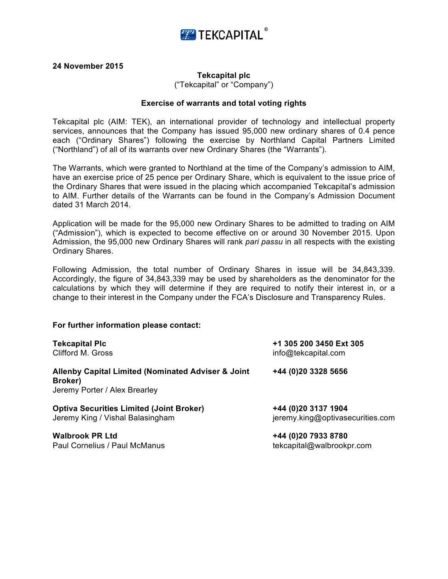

**24 November 2015**

## **Tekcapital plc**

("Tekcapital" or "Company")

## **Exercise of warrants and total voting rights**

Tekcapital plc (AIM: TEK), an international provider of technology and intellectual property services, announces that the Company has issued 95,000 new ordinary shares of 0.4 pence each ("Ordinary Shares") following the exercise by Northland Capital Partners Limited ("Northland") of all of its warrants over new Ordinary Shares (the "Warrants").

The Warrants, which were granted to Northland at the time of the Company's admission to AIM, have an exercise price of 25 pence per Ordinary Share, which is equivalent to the issue price of the Ordinary Shares that were issued in the placing which accompanied Tekcapital's admission to AIM. Further details of the Warrants can be found in the Company's Admission Document dated 31 March 2014.

Application will be made for the 95,000 new Ordinary Shares to be admitted to trading on AIM ("Admission"), which is expected to become effective on or around 30 November 2015. Upon Admission, the 95,000 new Ordinary Shares will rank *pari passu* in all respects with the existing Ordinary Shares.

Following Admission, the total number of Ordinary Shares in issue will be 34,843,339. Accordingly, the figure of 34,843,339 may be used by shareholders as the denominator for the calculations by which they will determine if they are required to notify their interest in, or a change to their interest in the Company under the FCA's Disclosure and Transparency Rules.

## **For further information please contact:**

| <b>Tekcapital Plc</b>                                                                          | +1 305 200 3450 Ext 305          |
|------------------------------------------------------------------------------------------------|----------------------------------|
| Clifford M. Gross                                                                              | info@tekcapital.com              |
| Allenby Capital Limited (Nominated Adviser & Joint<br>Broker)<br>Jeremy Porter / Alex Brearley | +44 (0)20 3328 5656              |
| <b>Optiva Securities Limited (Joint Broker)</b>                                                | +44 (0)20 3137 1904              |
| Jeremy King / Vishal Balasingham                                                               | jeremy.king@optivasecurities.com |
| <b>Walbrook PR Ltd</b>                                                                         | +44 (0)20 7933 8780              |
| Paul Cornelius / Paul McManus                                                                  | tekcapital@walbrookpr.com        |